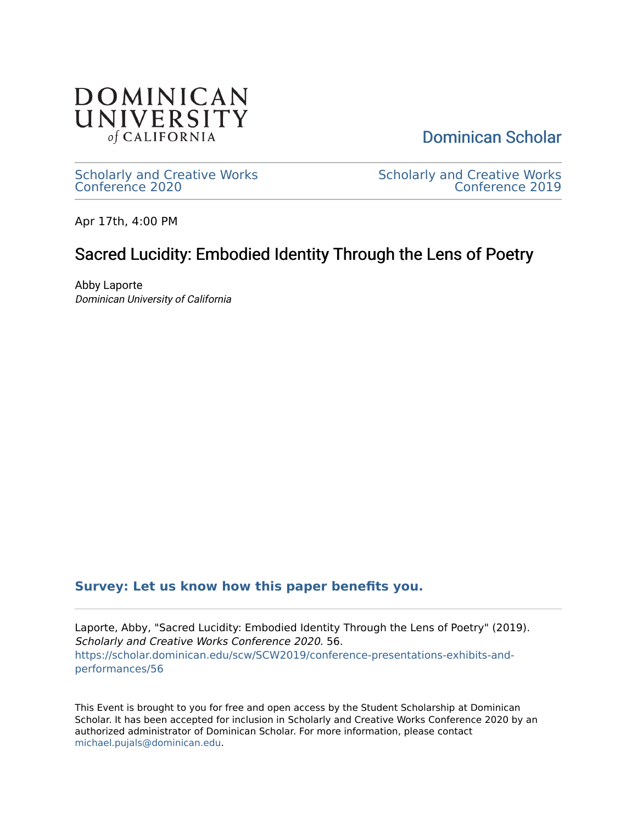

[Dominican Scholar](https://scholar.dominican.edu/) 

[Scholarly and Creative Works](https://scholar.dominican.edu/scw) [Conference 2020](https://scholar.dominican.edu/scw) 

[Scholarly and Creative Works](https://scholar.dominican.edu/scw/SCW2019)  [Conference 2019](https://scholar.dominican.edu/scw/SCW2019) 

Apr 17th, 4:00 PM

#### Sacred Lucidity: Embodied Identity Through the Lens of Poetry

Abby Laporte Dominican University of California

#### **[Survey: Let us know how this paper benefits you.](https://dominican.libwizard.com/dominican-scholar-feedback)**

Laporte, Abby, "Sacred Lucidity: Embodied Identity Through the Lens of Poetry" (2019). Scholarly and Creative Works Conference 2020. 56. [https://scholar.dominican.edu/scw/SCW2019/conference-presentations-exhibits-and](https://scholar.dominican.edu/scw/SCW2019/conference-presentations-exhibits-and-performances/56?utm_source=scholar.dominican.edu%2Fscw%2FSCW2019%2Fconference-presentations-exhibits-and-performances%2F56&utm_medium=PDF&utm_campaign=PDFCoverPages)[performances/56](https://scholar.dominican.edu/scw/SCW2019/conference-presentations-exhibits-and-performances/56?utm_source=scholar.dominican.edu%2Fscw%2FSCW2019%2Fconference-presentations-exhibits-and-performances%2F56&utm_medium=PDF&utm_campaign=PDFCoverPages)

This Event is brought to you for free and open access by the Student Scholarship at Dominican Scholar. It has been accepted for inclusion in Scholarly and Creative Works Conference 2020 by an authorized administrator of Dominican Scholar. For more information, please contact [michael.pujals@dominican.edu.](mailto:michael.pujals@dominican.edu)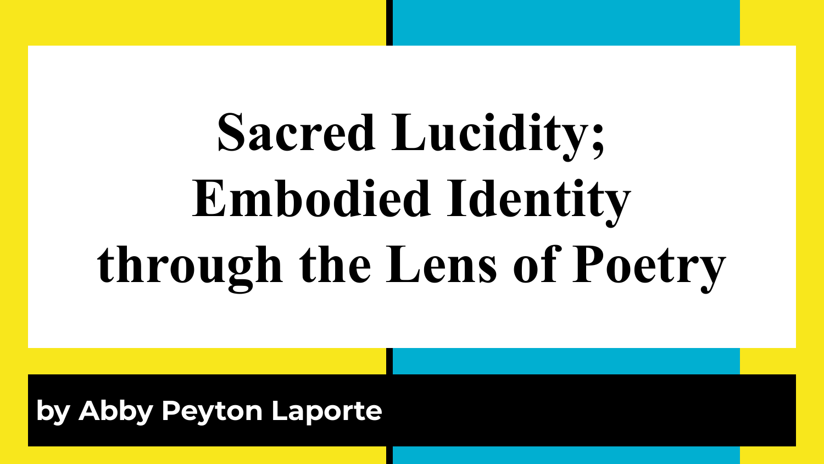# **Sacred Lucidity; Embodied Identity through the Lens of Poetry**

**by Abby Peyton Laporte**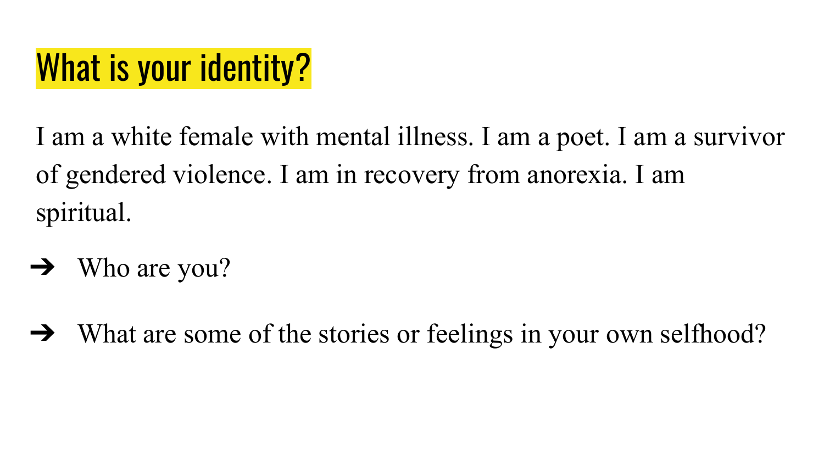# What is your identity?

I am a white female with mental illness. I am a poet. I am a survivor of gendered violence. I am in recovery from anorexia. I am spiritual.

- $\rightarrow$  Who are you?
- **→** What are some of the stories or feelings in your own selfhood?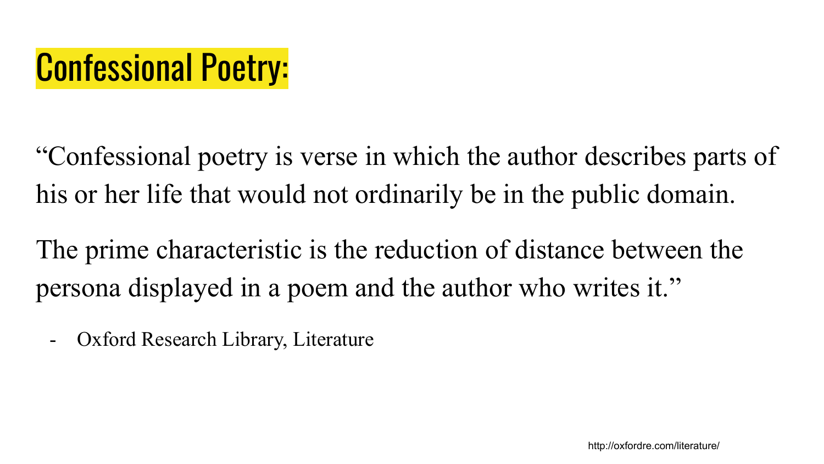# Confessional Poetry:

"Confessional poetry is verse in which the author describes parts of his or her life that would not ordinarily be in the public domain.

The prime characteristic is the reduction of distance between the persona displayed in a poem and the author who writes it."

- Oxford Research Library, Literature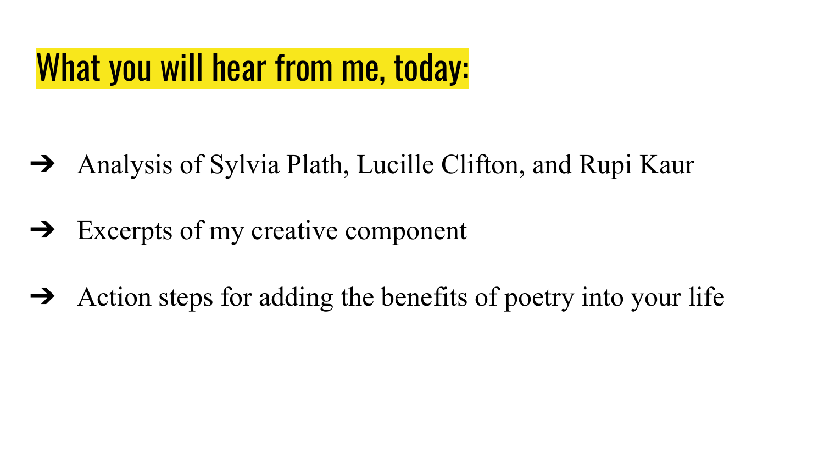### What you will hear from me, today:

- ➔ Analysis of Sylvia Plath, Lucille Clifton, and Rupi Kaur
- $\rightarrow$  Excerpts of my creative component
- **→** Action steps for adding the benefits of poetry into your life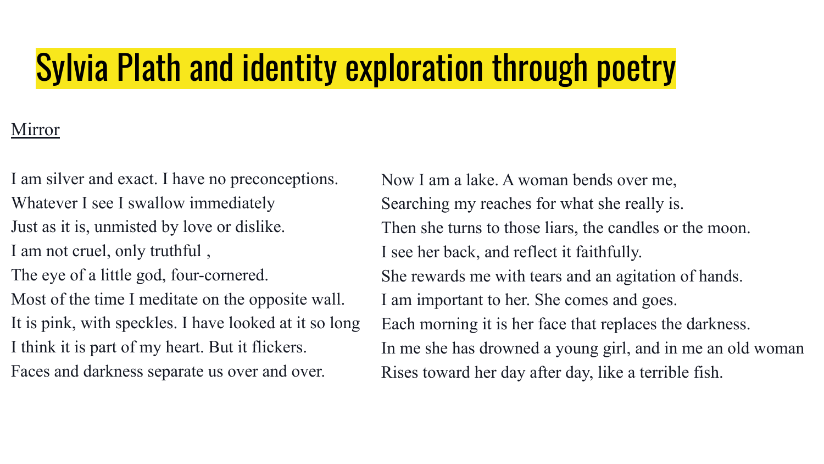### Sylvia Plath and identity exploration through poetry

#### Mirror

I am silver and exact. I have no preconceptions. Whatever I see I swallow immediately Just as it is, unmisted by love or dislike. I am not cruel, only truthful, The eye of a little god, four-cornered. Most of the time I meditate on the opposite wall. It is pink, with speckles. I have looked at it so long I think it is part of my heart. But it flickers. Faces and darkness separate us over and over.

Now I am a lake. A woman bends over me, Searching my reaches for what she really is. Then she turns to those liars, the candles or the moon. I see her back, and reflect it faithfully. She rewards me with tears and an agitation of hands. I am important to her. She comes and goes. Each morning it is her face that replaces the darkness. In me she has drowned a young girl, and in me an old woman Rises toward her day after day, like a terrible fish.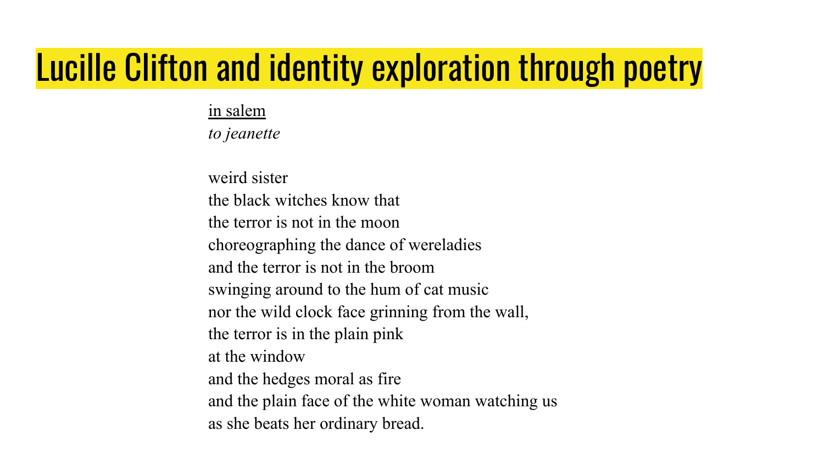### Lucille Clifton and identity exploration through poetry

in salem

*to jeanette*

weird sister the black witches know that the terror is not in the moon choreographing the dance of wereladies and the terror is not in the broom swinging around to the hum of cat music nor the wild clock face grinning from the wall, the terror is in the plain pink at the window and the hedges moral as fire and the plain face of the white woman watching us as she beats her ordinary bread.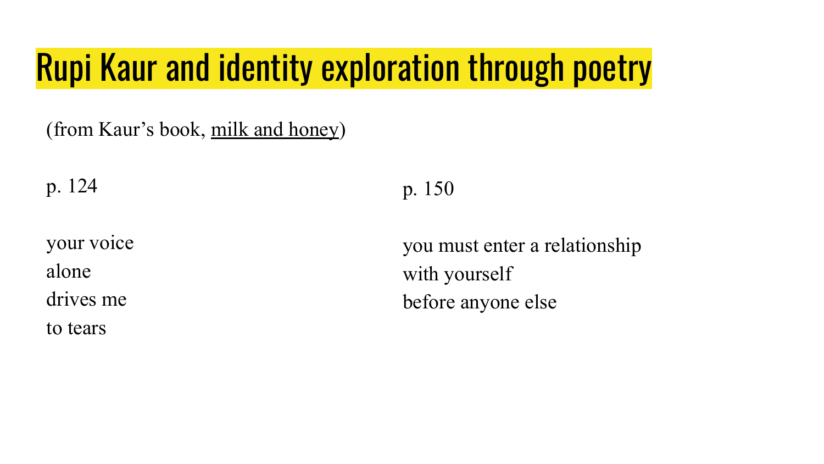## Rupi Kaur and identity exploration through poetry

(from Kaur's book, milk and honey)

p. 124

your voice alone drives me to tears

p. 150

you must enter a relationship with yourself before anyone else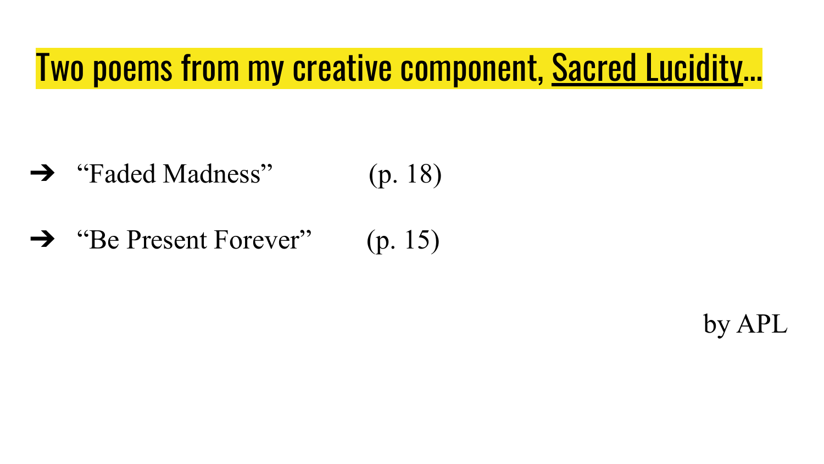### Two poems from my creative component, Sacred Lucidity...

- ➔ "Faded Madness" (p. 18)
- $\rightarrow$  "Be Present Forever" (p. 15)

by APL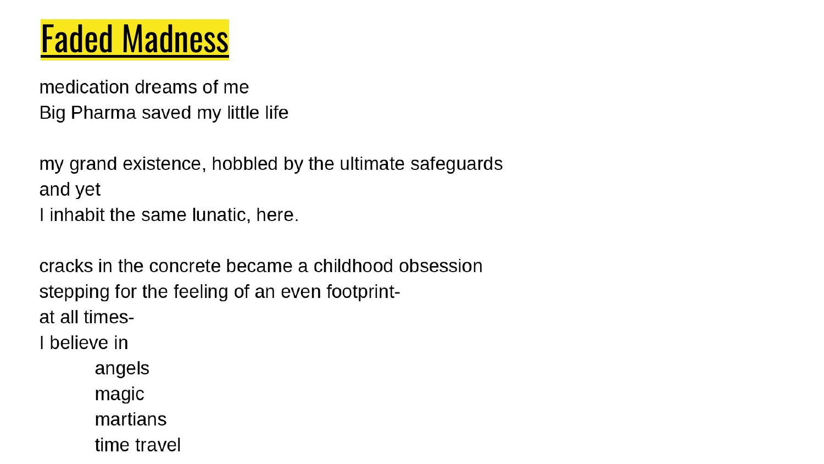

medication dreams of me Big Pharma saved my little life

my grand existence, hobbled by the ultimate safeguards and yet I inhabit the same lunatic, here.

cracks in the concrete became a childhood obsession stepping for the feeling of an even footprintat all times-

I believe in

angels magic martians time travel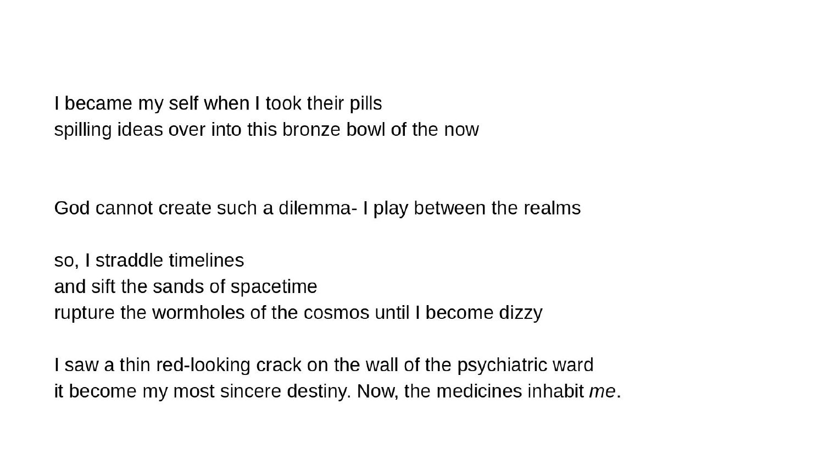I became my self when I took their pills spilling ideas over into this bronze bowl of the now

God cannot create such a dilemma- I play between the realms

so. I straddle timelines and sift the sands of spacetime rupture the wormholes of the cosmos until I become dizzy

I saw a thin red-looking crack on the wall of the psychiatric ward it become my most sincere destiny. Now, the medicines inhabit me.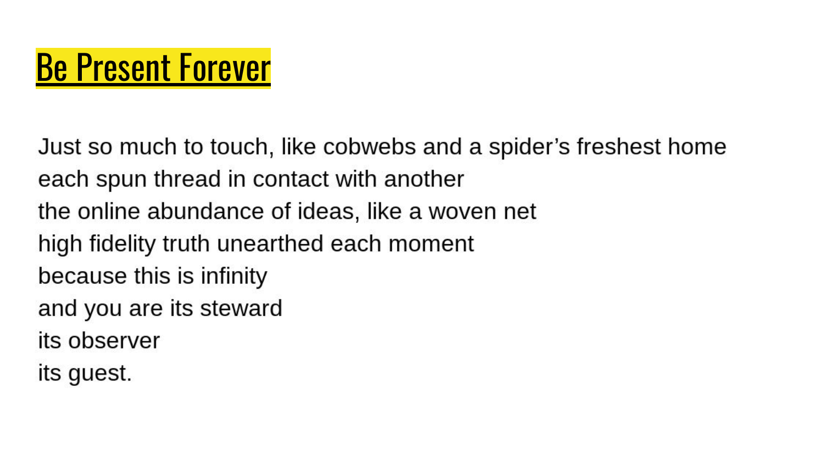# Be Present Forever

Just so much to touch, like cobwebs and a spider's freshest home each spun thread in contact with another the online abundance of ideas, like a woven net high fidelity truth unearthed each moment because this is infinity and you are its steward its observer its guest.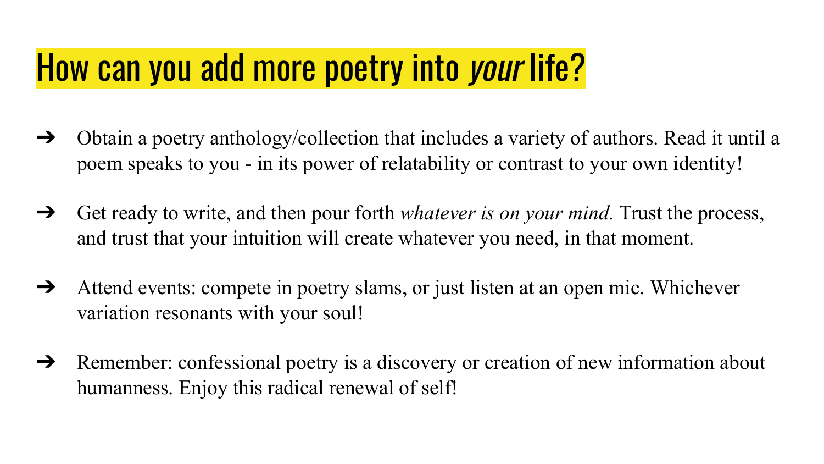### How can you add more poetry into your life?

- $\rightarrow$  Obtain a poetry anthology/collection that includes a variety of authors. Read it until a poem speaks to you - in its power of relatability or contrast to your own identity!
- ➔ Get ready to write, and then pour forth *whatever is on your mind.* Trust the process, and trust that your intuition will create whatever you need, in that moment.
- ➔ Attend events: compete in poetry slams, or just listen at an open mic. Whichever variation resonants with your soul!
- ➔ Remember: confessional poetry is a discovery or creation of new information about humanness. Enjoy this radical renewal of self!